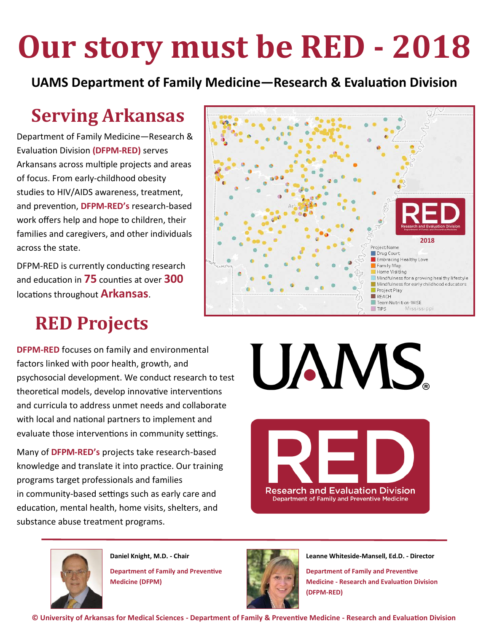# **Our story must be RED - 2018**

**UAMS Department of Family Medicine—Research & Evaluation Division**

### **Serving Arkansas**

Department of Family Medicine—Research & Evaluation Division **(DFPM-RED)** serves Arkansans across multiple projects and areas of focus. From early-childhood obesity studies to HIV/AIDS awareness, treatment, and prevention, **DFPM-RED's** research-based work offers help and hope to children, their families and caregivers, and other individuals across the state.

DFPM-RED is currently conducting research and education in **75** counties at over **300** locations throughout **Arkansas**.

### **RED Projects**

**DFPM-RED** focuses on family and environmental factors linked with poor health, growth, and psychosocial development. We conduct research to test theoretical models, develop innovative interventions and curricula to address unmet needs and collaborate with local and national partners to implement and evaluate those interventions in community settings.

Many of **DFPM-RED's** projects take research-based knowledge and translate it into practice. Our training programs target professionals and families in community-based settings such as early care and education, mental health, home visits, shelters, and substance abuse treatment programs.





**Daniel Knight, M.D. - Chair Department of Family and Preventive Medicine (DFPM)**



**Leanne Whiteside-Mansell, Ed.D. - Director**

**Department of Family and Preventive Medicine - Research and Evaluation Division (DFPM-RED)**



UAMS.